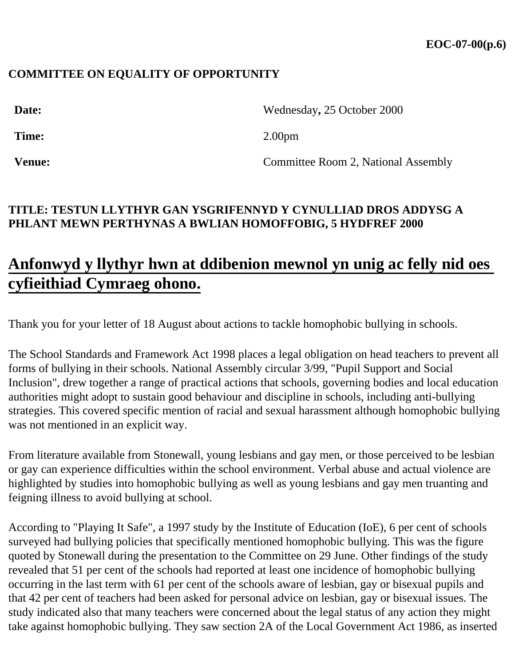### **COMMITTEE ON EQUALITY OF OPPORTUNITY**

| Date:         | Wednesday, 25 October 2000          |
|---------------|-------------------------------------|
| Time:         | 2.00 <sub>pm</sub>                  |
| <b>Venue:</b> | Committee Room 2, National Assembly |

## **TITLE: TESTUN LLYTHYR GAN YSGRIFENNYD Y CYNULLIAD DROS ADDYSG A PHLANT MEWN PERTHYNAS A BWLIAN HOMOFFOBIG, 5 HYDFREF 2000**

# **Anfonwyd y llythyr hwn at ddibenion mewnol yn unig ac felly nid oes cyfieithiad Cymraeg ohono.**

Thank you for your letter of 18 August about actions to tackle homophobic bullying in schools.

The School Standards and Framework Act 1998 places a legal obligation on head teachers to prevent all forms of bullying in their schools. National Assembly circular 3/99, "Pupil Support and Social Inclusion", drew together a range of practical actions that schools, governing bodies and local education authorities might adopt to sustain good behaviour and discipline in schools, including anti-bullying strategies. This covered specific mention of racial and sexual harassment although homophobic bullying was not mentioned in an explicit way.

From literature available from Stonewall, young lesbians and gay men, or those perceived to be lesbian or gay can experience difficulties within the school environment. Verbal abuse and actual violence are highlighted by studies into homophobic bullying as well as young lesbians and gay men truanting and feigning illness to avoid bullying at school.

According to "Playing It Safe", a 1997 study by the Institute of Education (IoE), 6 per cent of schools surveyed had bullying policies that specifically mentioned homophobic bullying. This was the figure quoted by Stonewall during the presentation to the Committee on 29 June. Other findings of the study revealed that 51 per cent of the schools had reported at least one incidence of homophobic bullying occurring in the last term with 61 per cent of the schools aware of lesbian, gay or bisexual pupils and that 42 per cent of teachers had been asked for personal advice on lesbian, gay or bisexual issues. The study indicated also that many teachers were concerned about the legal status of any action they might take against homophobic bullying. They saw section 2A of the Local Government Act 1986, as inserted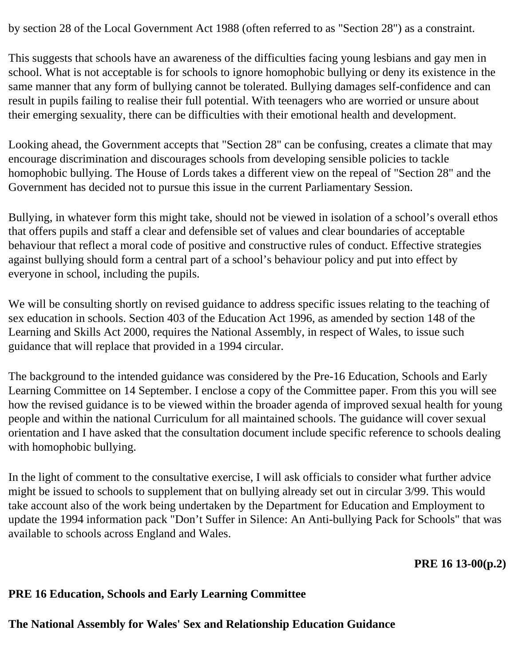by section 28 of the Local Government Act 1988 (often referred to as "Section 28") as a constraint.

This suggests that schools have an awareness of the difficulties facing young lesbians and gay men in school. What is not acceptable is for schools to ignore homophobic bullying or deny its existence in the same manner that any form of bullying cannot be tolerated. Bullying damages self-confidence and can result in pupils failing to realise their full potential. With teenagers who are worried or unsure about their emerging sexuality, there can be difficulties with their emotional health and development.

Looking ahead, the Government accepts that "Section 28" can be confusing, creates a climate that may encourage discrimination and discourages schools from developing sensible policies to tackle homophobic bullying. The House of Lords takes a different view on the repeal of "Section 28" and the Government has decided not to pursue this issue in the current Parliamentary Session.

Bullying, in whatever form this might take, should not be viewed in isolation of a school's overall ethos that offers pupils and staff a clear and defensible set of values and clear boundaries of acceptable behaviour that reflect a moral code of positive and constructive rules of conduct. Effective strategies against bullying should form a central part of a school's behaviour policy and put into effect by everyone in school, including the pupils.

We will be consulting shortly on revised guidance to address specific issues relating to the teaching of sex education in schools. Section 403 of the Education Act 1996, as amended by section 148 of the Learning and Skills Act 2000, requires the National Assembly, in respect of Wales, to issue such guidance that will replace that provided in a 1994 circular.

The background to the intended guidance was considered by the Pre-16 Education, Schools and Early Learning Committee on 14 September. I enclose a copy of the Committee paper. From this you will see how the revised guidance is to be viewed within the broader agenda of improved sexual health for young people and within the national Curriculum for all maintained schools. The guidance will cover sexual orientation and I have asked that the consultation document include specific reference to schools dealing with homophobic bullying.

In the light of comment to the consultative exercise, I will ask officials to consider what further advice might be issued to schools to supplement that on bullying already set out in circular 3/99. This would take account also of the work being undertaken by the Department for Education and Employment to update the 1994 information pack "Don't Suffer in Silence: An Anti-bullying Pack for Schools" that was available to schools across England and Wales.

**PRE 16 13-00(p.2)**

#### **PRE 16 Education, Schools and Early Learning Committee**

## **The National Assembly for Wales' Sex and Relationship Education Guidance**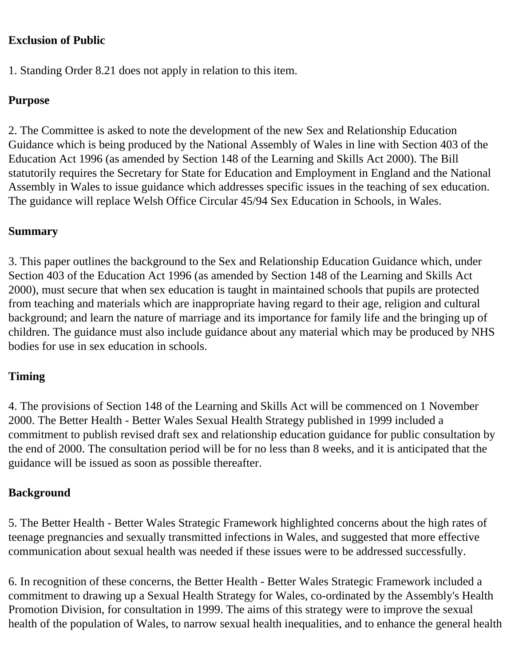### **Exclusion of Public**

1. Standing Order 8.21 does not apply in relation to this item.

## **Purpose**

2. The Committee is asked to note the development of the new Sex and Relationship Education Guidance which is being produced by the National Assembly of Wales in line with Section 403 of the Education Act 1996 (as amended by Section 148 of the Learning and Skills Act 2000). The Bill statutorily requires the Secretary for State for Education and Employment in England and the National Assembly in Wales to issue guidance which addresses specific issues in the teaching of sex education. The guidance will replace Welsh Office Circular 45/94 Sex Education in Schools, in Wales.

## **Summary**

3. This paper outlines the background to the Sex and Relationship Education Guidance which, under Section 403 of the Education Act 1996 (as amended by Section 148 of the Learning and Skills Act 2000), must secure that when sex education is taught in maintained schools that pupils are protected from teaching and materials which are inappropriate having regard to their age, religion and cultural background; and learn the nature of marriage and its importance for family life and the bringing up of children. The guidance must also include guidance about any material which may be produced by NHS bodies for use in sex education in schools.

# **Timing**

4. The provisions of Section 148 of the Learning and Skills Act will be commenced on 1 November 2000. The Better Health - Better Wales Sexual Health Strategy published in 1999 included a commitment to publish revised draft sex and relationship education guidance for public consultation by the end of 2000. The consultation period will be for no less than 8 weeks, and it is anticipated that the guidance will be issued as soon as possible thereafter.

## **Background**

5. The Better Health - Better Wales Strategic Framework highlighted concerns about the high rates of teenage pregnancies and sexually transmitted infections in Wales, and suggested that more effective communication about sexual health was needed if these issues were to be addressed successfully.

6. In recognition of these concerns, the Better Health - Better Wales Strategic Framework included a commitment to drawing up a Sexual Health Strategy for Wales, co-ordinated by the Assembly's Health Promotion Division, for consultation in 1999. The aims of this strategy were to improve the sexual health of the population of Wales, to narrow sexual health inequalities, and to enhance the general health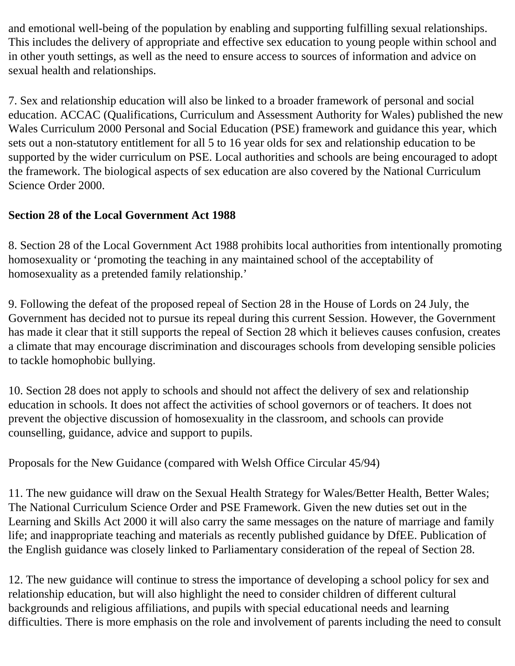and emotional well-being of the population by enabling and supporting fulfilling sexual relationships. This includes the delivery of appropriate and effective sex education to young people within school and in other youth settings, as well as the need to ensure access to sources of information and advice on sexual health and relationships.

7. Sex and relationship education will also be linked to a broader framework of personal and social education. ACCAC (Qualifications, Curriculum and Assessment Authority for Wales) published the new Wales Curriculum 2000 Personal and Social Education (PSE) framework and guidance this year, which sets out a non-statutory entitlement for all 5 to 16 year olds for sex and relationship education to be supported by the wider curriculum on PSE. Local authorities and schools are being encouraged to adopt the framework. The biological aspects of sex education are also covered by the National Curriculum Science Order 2000.

# **Section 28 of the Local Government Act 1988**

8. Section 28 of the Local Government Act 1988 prohibits local authorities from intentionally promoting homosexuality or 'promoting the teaching in any maintained school of the acceptability of homosexuality as a pretended family relationship.'

9. Following the defeat of the proposed repeal of Section 28 in the House of Lords on 24 July, the Government has decided not to pursue its repeal during this current Session. However, the Government has made it clear that it still supports the repeal of Section 28 which it believes causes confusion, creates a climate that may encourage discrimination and discourages schools from developing sensible policies to tackle homophobic bullying.

10. Section 28 does not apply to schools and should not affect the delivery of sex and relationship education in schools. It does not affect the activities of school governors or of teachers. It does not prevent the objective discussion of homosexuality in the classroom, and schools can provide counselling, guidance, advice and support to pupils.

Proposals for the New Guidance (compared with Welsh Office Circular 45/94)

11. The new guidance will draw on the Sexual Health Strategy for Wales/Better Health, Better Wales; The National Curriculum Science Order and PSE Framework. Given the new duties set out in the Learning and Skills Act 2000 it will also carry the same messages on the nature of marriage and family life; and inappropriate teaching and materials as recently published guidance by DfEE. Publication of the English guidance was closely linked to Parliamentary consideration of the repeal of Section 28.

12. The new guidance will continue to stress the importance of developing a school policy for sex and relationship education, but will also highlight the need to consider children of different cultural backgrounds and religious affiliations, and pupils with special educational needs and learning difficulties. There is more emphasis on the role and involvement of parents including the need to consult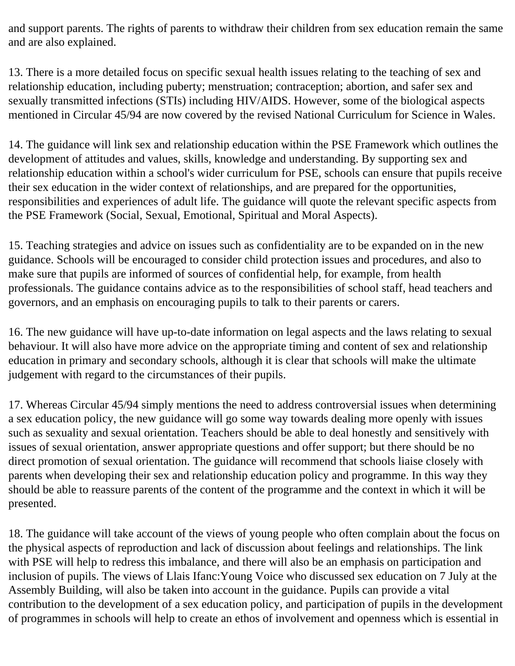and support parents. The rights of parents to withdraw their children from sex education remain the same and are also explained.

13. There is a more detailed focus on specific sexual health issues relating to the teaching of sex and relationship education, including puberty; menstruation; contraception; abortion, and safer sex and sexually transmitted infections (STIs) including HIV/AIDS. However, some of the biological aspects mentioned in Circular 45/94 are now covered by the revised National Curriculum for Science in Wales.

14. The guidance will link sex and relationship education within the PSE Framework which outlines the development of attitudes and values, skills, knowledge and understanding. By supporting sex and relationship education within a school's wider curriculum for PSE, schools can ensure that pupils receive their sex education in the wider context of relationships, and are prepared for the opportunities, responsibilities and experiences of adult life. The guidance will quote the relevant specific aspects from the PSE Framework (Social, Sexual, Emotional, Spiritual and Moral Aspects).

15. Teaching strategies and advice on issues such as confidentiality are to be expanded on in the new guidance. Schools will be encouraged to consider child protection issues and procedures, and also to make sure that pupils are informed of sources of confidential help, for example, from health professionals. The guidance contains advice as to the responsibilities of school staff, head teachers and governors, and an emphasis on encouraging pupils to talk to their parents or carers.

16. The new guidance will have up-to-date information on legal aspects and the laws relating to sexual behaviour. It will also have more advice on the appropriate timing and content of sex and relationship education in primary and secondary schools, although it is clear that schools will make the ultimate judgement with regard to the circumstances of their pupils.

17. Whereas Circular 45/94 simply mentions the need to address controversial issues when determining a sex education policy, the new guidance will go some way towards dealing more openly with issues such as sexuality and sexual orientation. Teachers should be able to deal honestly and sensitively with issues of sexual orientation, answer appropriate questions and offer support; but there should be no direct promotion of sexual orientation. The guidance will recommend that schools liaise closely with parents when developing their sex and relationship education policy and programme. In this way they should be able to reassure parents of the content of the programme and the context in which it will be presented.

18. The guidance will take account of the views of young people who often complain about the focus on the physical aspects of reproduction and lack of discussion about feelings and relationships. The link with PSE will help to redress this imbalance, and there will also be an emphasis on participation and inclusion of pupils. The views of Llais Ifanc:Young Voice who discussed sex education on 7 July at the Assembly Building, will also be taken into account in the guidance. Pupils can provide a vital contribution to the development of a sex education policy, and participation of pupils in the development of programmes in schools will help to create an ethos of involvement and openness which is essential in